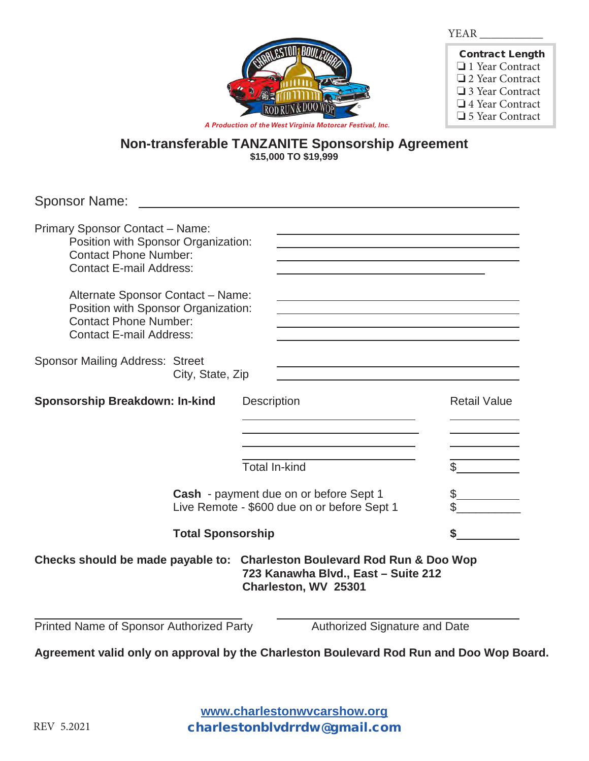

| <b>Contract Length</b> |
|------------------------|
| $\Box$ 1 Year Contract |
| $\Box$ 2 Year Contract |
| $\Box$ 3 Year Contract |
| $\Box$ 4 Year Contract |
| $\Box$ 5 Year Contract |

*A Production of the West Virginia Motorcar Festival, Inc.*

## **Non-transferable TANZANITE Sponsorship Agreement \$15,000 TO \$19,999**

Sponsor Name:

| <b>Primary Sponsor Contact - Name:</b><br>Position with Sponsor Organization:<br><b>Contact Phone Number:</b><br><b>Contact E-mail Address:</b> |                                     |                                                             |                     |
|-------------------------------------------------------------------------------------------------------------------------------------------------|-------------------------------------|-------------------------------------------------------------|---------------------|
| Alternate Sponsor Contact - Name:<br>Position with Sponsor Organization:<br><b>Contact Phone Number:</b><br><b>Contact E-mail Address:</b>      |                                     |                                                             |                     |
| <b>Sponsor Mailing Address: Street</b><br>City, State, Zip                                                                                      |                                     |                                                             |                     |
| <b>Sponsorship Breakdown: In-kind</b>                                                                                                           | Description<br><b>Total In-kind</b> |                                                             | <b>Retail Value</b> |
| Cash - payment due on or before Sept 1<br>Live Remote - \$600 due on or before Sept 1                                                           |                                     | \$                                                          |                     |
| <b>Total Sponsorship</b>                                                                                                                        |                                     |                                                             |                     |
| Checks should be made payable to: Charleston Boulevard Rod Run & Doo Wop                                                                        |                                     | 723 Kanawha Blvd., East - Suite 212<br>Charleston, WV 25301 |                     |
| Printed Name of Sponsor Authorized Party                                                                                                        |                                     | Authorized Signature and Date                               |                     |

**Agreement valid only on approval by the Charleston Boulevard Rod Run and Doo Wop Board.** 

**www.charlestonwvcarshow.com www.charlestonwvcarshow.org** charlestonblvdrrdw@gmail.com